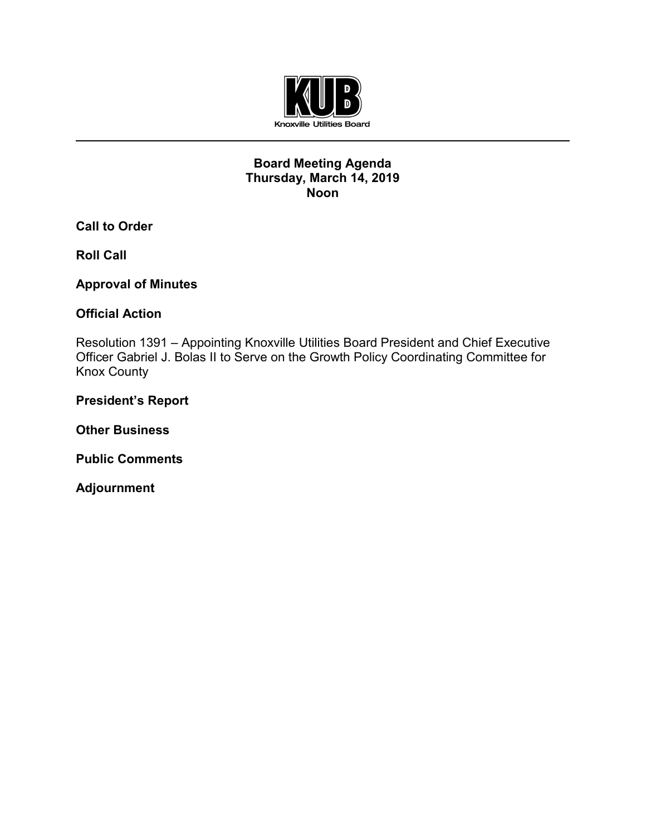

## **Board Meeting Agenda Thursday, March 14, 2019 Noon**

**Call to Order**

**Roll Call**

**Approval of Minutes**

## **Official Action**

Resolution 1391 – Appointing Knoxville Utilities Board President and Chief Executive Officer Gabriel J. Bolas II to Serve on the Growth Policy Coordinating Committee for Knox County

## **President's Report**

**Other Business**

**Public Comments**

**Adjournment**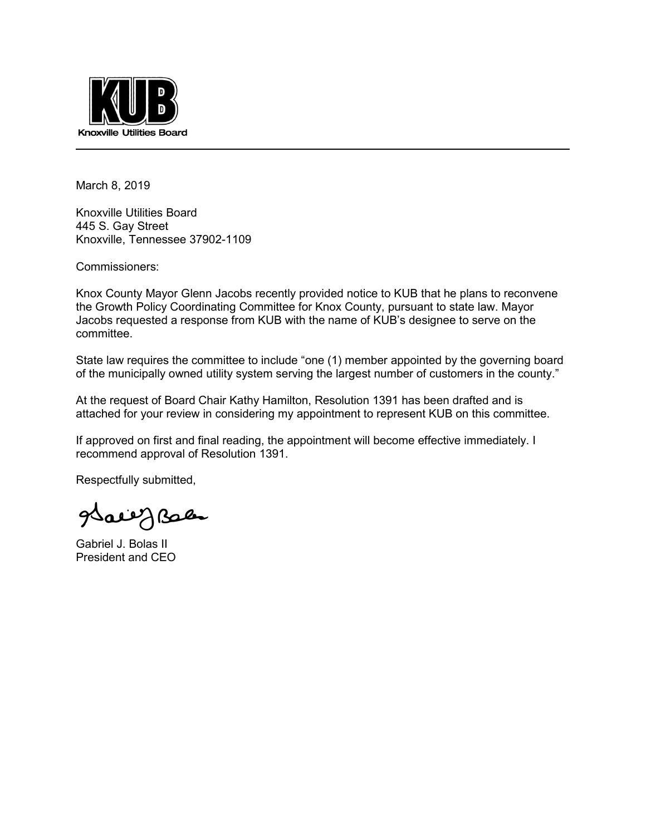

March 8, 2019

Knoxville Utilities Board 445 S. Gay Street Knoxville, Tennessee 37902-1109

Commissioners:

Knox County Mayor Glenn Jacobs recently provided notice to KUB that he plans to reconvene the Growth Policy Coordinating Committee for Knox County, pursuant to state law. Mayor Jacobs requested a response from KUB with the name of KUB's designee to serve on the committee.

State law requires the committee to include "one (1) member appointed by the governing board of the municipally owned utility system serving the largest number of customers in the county."

At the request of Board Chair Kathy Hamilton, Resolution 1391 has been drafted and is attached for your review in considering my appointment to represent KUB on this committee.

If approved on first and final reading, the appointment will become effective immediately. I recommend approval of Resolution 1391.

Respectfully submitted,

all Geise

Gabriel J. Bolas II President and CEO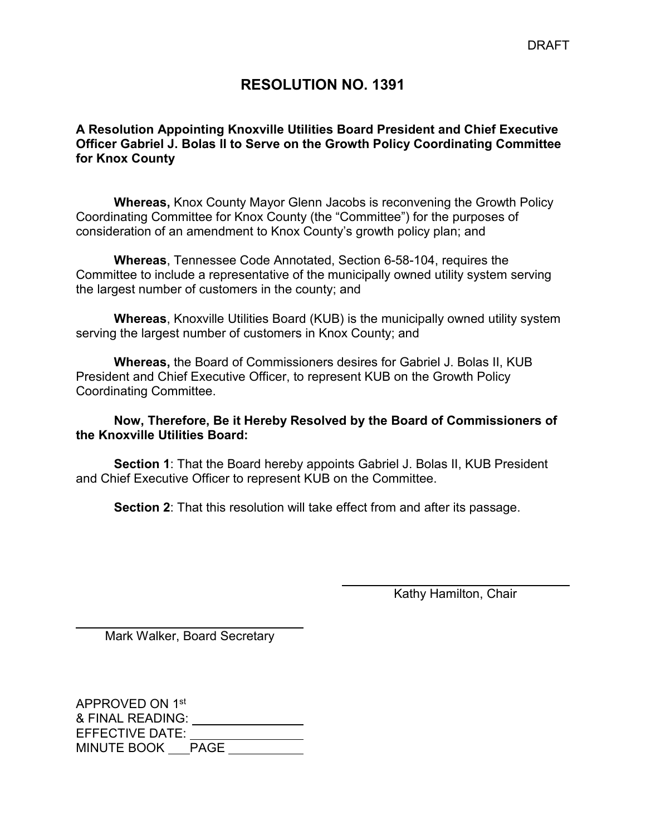## **RESOLUTION NO. 1391**

## **A Resolution Appointing Knoxville Utilities Board President and Chief Executive Officer Gabriel J. Bolas II to Serve on the Growth Policy Coordinating Committee for Knox County**

**Whereas,** Knox County Mayor Glenn Jacobs is reconvening the Growth Policy Coordinating Committee for Knox County (the "Committee") for the purposes of consideration of an amendment to Knox County's growth policy plan; and

**Whereas**, Tennessee Code Annotated, Section 6-58-104, requires the Committee to include a representative of the municipally owned utility system serving the largest number of customers in the county; and

**Whereas**, Knoxville Utilities Board (KUB) is the municipally owned utility system serving the largest number of customers in Knox County; and

**Whereas,** the Board of Commissioners desires for Gabriel J. Bolas II, KUB President and Chief Executive Officer, to represent KUB on the Growth Policy Coordinating Committee.

## **Now, Therefore, Be it Hereby Resolved by the Board of Commissioners of the Knoxville Utilities Board:**

**Section 1**: That the Board hereby appoints Gabriel J. Bolas II, KUB President and Chief Executive Officer to represent KUB on the Committee.

**Section 2**: That this resolution will take effect from and after its passage.

 $\overline{a}$ Kathy Hamilton, Chair

 $\overline{a}$ Mark Walker, Board Secretary

APPROVED ON 1st & FINAL READING: EFFECTIVE DATE: MINUTE BOOK PAGE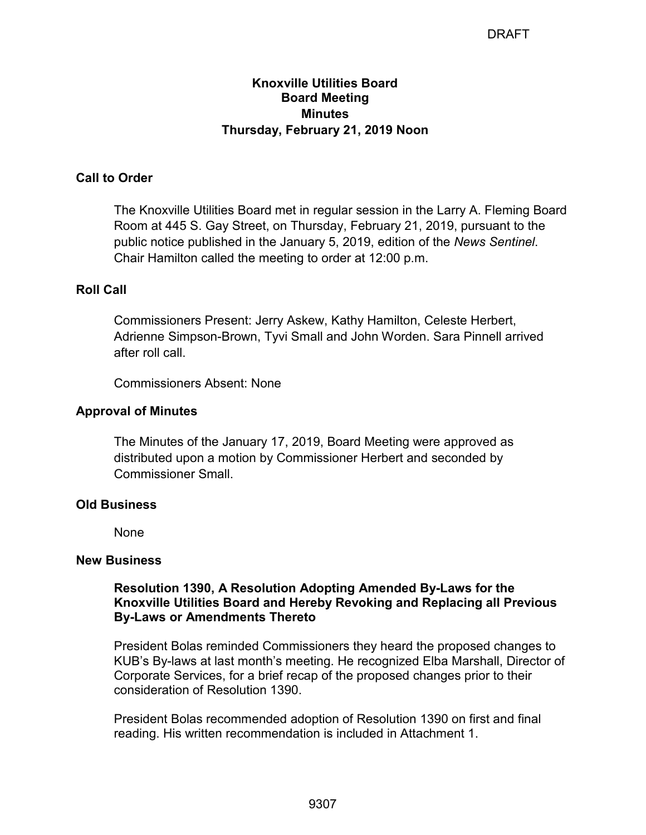## **Knoxville Utilities Board Board Meeting Minutes Thursday, February 21, 2019 Noon**

## **Call to Order**

The Knoxville Utilities Board met in regular session in the Larry A. Fleming Board Room at 445 S. Gay Street, on Thursday, February 21, 2019, pursuant to the public notice published in the January 5, 2019, edition of the *News Sentinel*. Chair Hamilton called the meeting to order at 12:00 p.m.

## **Roll Call**

Commissioners Present: Jerry Askew, Kathy Hamilton, Celeste Herbert, Adrienne Simpson-Brown, Tyvi Small and John Worden. Sara Pinnell arrived after roll call.

Commissioners Absent: None

## **Approval of Minutes**

The Minutes of the January 17, 2019, Board Meeting were approved as distributed upon a motion by Commissioner Herbert and seconded by Commissioner Small.

## **Old Business**

None

### **New Business**

## **Resolution 1390, A Resolution Adopting Amended By-Laws for the Knoxville Utilities Board and Hereby Revoking and Replacing all Previous By-Laws or Amendments Thereto**

President Bolas reminded Commissioners they heard the proposed changes to KUB's By-laws at last month's meeting. He recognized Elba Marshall, Director of Corporate Services, for a brief recap of the proposed changes prior to their consideration of Resolution 1390.

President Bolas recommended adoption of Resolution 1390 on first and final reading. His written recommendation is included in Attachment 1.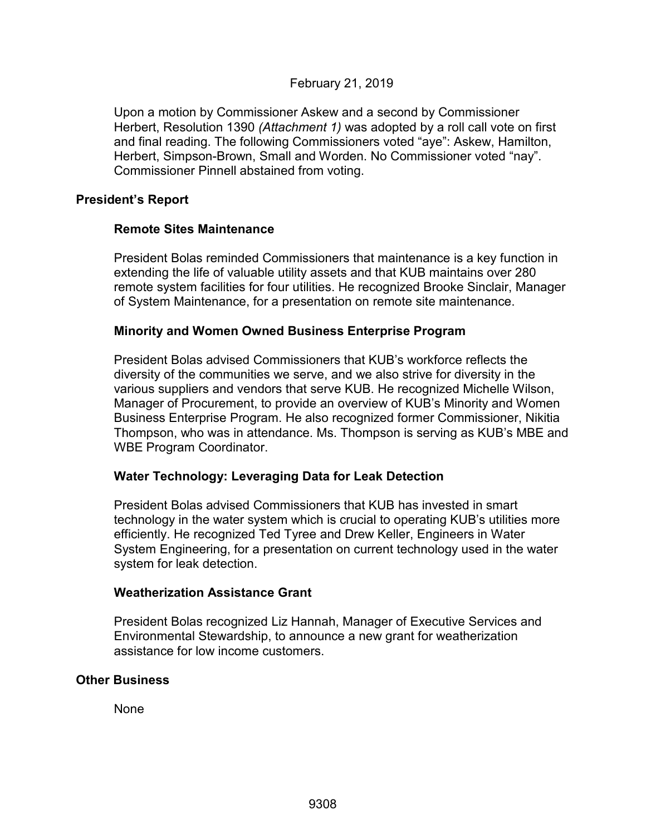## February 21, 2019

Upon a motion by Commissioner Askew and a second by Commissioner Herbert, Resolution 1390 *(Attachment 1)* was adopted by a roll call vote on first and final reading. The following Commissioners voted "aye": Askew, Hamilton, Herbert, Simpson-Brown, Small and Worden. No Commissioner voted "nay". Commissioner Pinnell abstained from voting.

### **President's Report**

### **Remote Sites Maintenance**

President Bolas reminded Commissioners that maintenance is a key function in extending the life of valuable utility assets and that KUB maintains over 280 remote system facilities for four utilities. He recognized Brooke Sinclair, Manager of System Maintenance, for a presentation on remote site maintenance.

### **Minority and Women Owned Business Enterprise Program**

President Bolas advised Commissioners that KUB's workforce reflects the diversity of the communities we serve, and we also strive for diversity in the various suppliers and vendors that serve KUB. He recognized Michelle Wilson, Manager of Procurement, to provide an overview of KUB's Minority and Women Business Enterprise Program. He also recognized former Commissioner, Nikitia Thompson, who was in attendance. Ms. Thompson is serving as KUB's MBE and WBE Program Coordinator.

## **Water Technology: Leveraging Data for Leak Detection**

President Bolas advised Commissioners that KUB has invested in smart technology in the water system which is crucial to operating KUB's utilities more efficiently. He recognized Ted Tyree and Drew Keller, Engineers in Water System Engineering, for a presentation on current technology used in the water system for leak detection.

### **Weatherization Assistance Grant**

President Bolas recognized Liz Hannah, Manager of Executive Services and Environmental Stewardship, to announce a new grant for weatherization assistance for low income customers.

### **Other Business**

None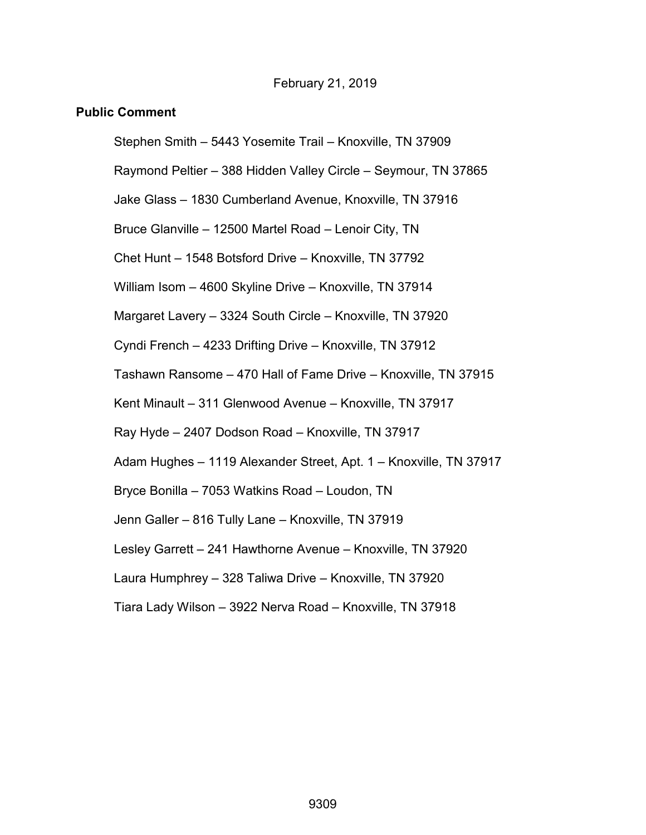### February 21, 2019

### **Public Comment**

Stephen Smith – 5443 Yosemite Trail – Knoxville, TN 37909

Raymond Peltier – 388 Hidden Valley Circle – Seymour, TN 37865

Jake Glass – 1830 Cumberland Avenue, Knoxville, TN 37916

Bruce Glanville – 12500 Martel Road – Lenoir City, TN

Chet Hunt – 1548 Botsford Drive – Knoxville, TN 37792

William Isom – 4600 Skyline Drive – Knoxville, TN 37914

Margaret Lavery – 3324 South Circle – Knoxville, TN 37920

Cyndi French – 4233 Drifting Drive – Knoxville, TN 37912

Tashawn Ransome – 470 Hall of Fame Drive – Knoxville, TN 37915

Kent Minault – 311 Glenwood Avenue – Knoxville, TN 37917

Ray Hyde – 2407 Dodson Road – Knoxville, TN 37917

Adam Hughes – 1119 Alexander Street, Apt. 1 – Knoxville, TN 37917

Bryce Bonilla – 7053 Watkins Road – Loudon, TN

Jenn Galler – 816 Tully Lane – Knoxville, TN 37919

Lesley Garrett – 241 Hawthorne Avenue – Knoxville, TN 37920

Laura Humphrey – 328 Taliwa Drive – Knoxville, TN 37920

Tiara Lady Wilson – 3922 Nerva Road – Knoxville, TN 37918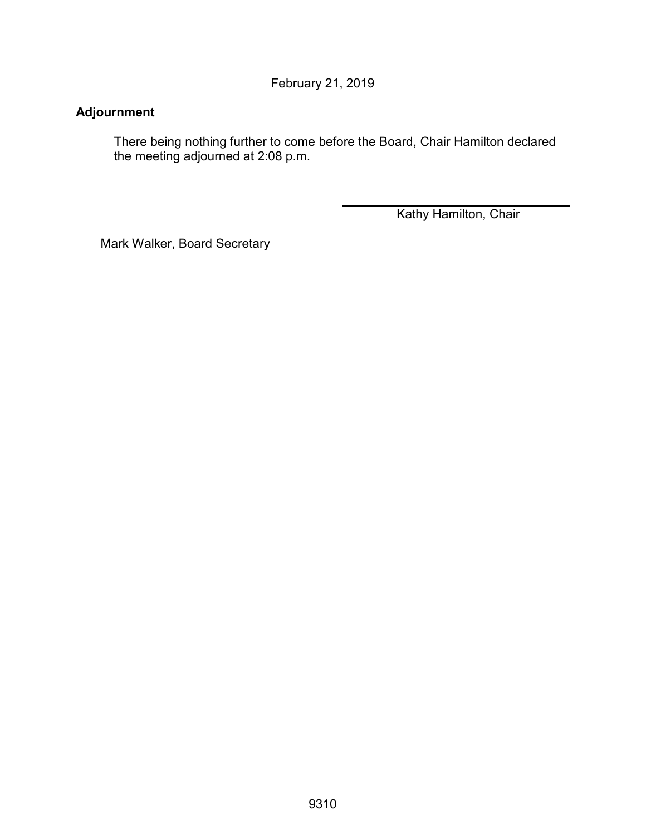February 21, 2019

## **Adjournment**

 $\overline{a}$ 

There being nothing further to come before the Board, Chair Hamilton declared the meeting adjourned at 2:08 p.m.

Kathy Hamilton, Chair

Mark Walker, Board Secretary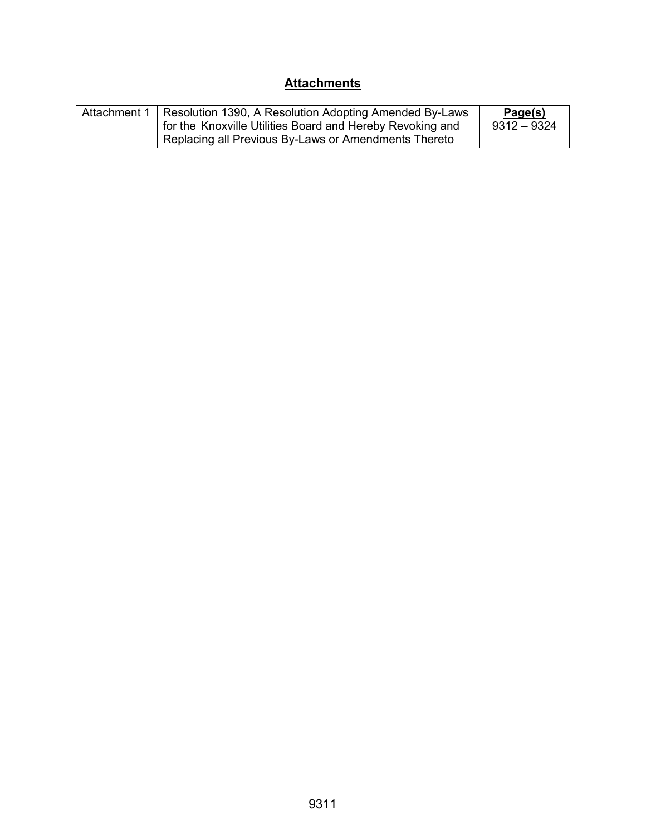## **Attachments**

| Attachment 1 | Resolution 1390, A Resolution Adopting Amended By-Laws    | Page(s)       |
|--------------|-----------------------------------------------------------|---------------|
|              | for the Knoxville Utilities Board and Hereby Revoking and | $9312 - 9324$ |
|              | Replacing all Previous By-Laws or Amendments Thereto      |               |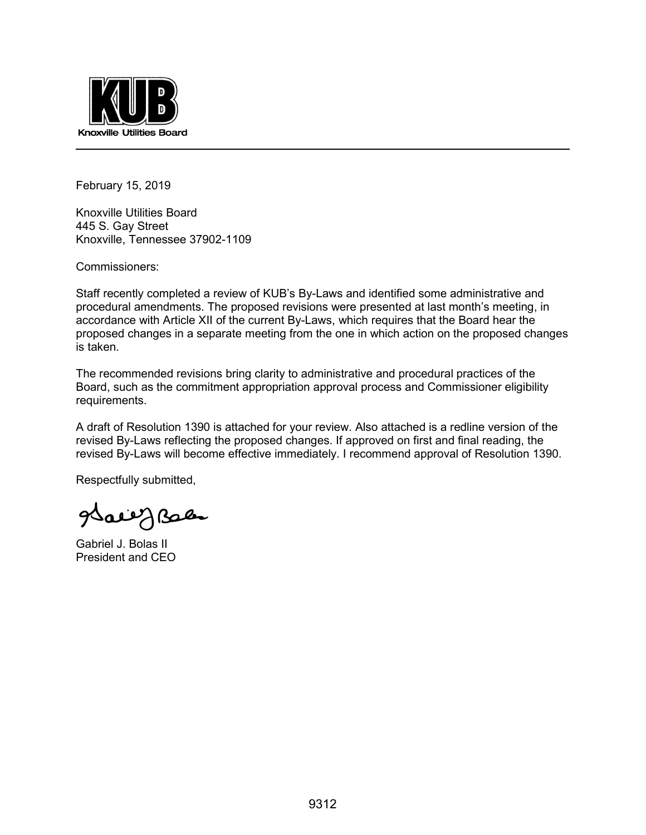

February 15, 2019

Knoxville Utilities Board 445 S. Gay Street Knoxville, Tennessee 37902-1109

Commissioners:

Staff recently completed a review of KUB's By-Laws and identified some administrative and procedural amendments. The proposed revisions were presented at last month's meeting, in accordance with Article XII of the current By-Laws, which requires that the Board hear the proposed changes in a separate meeting from the one in which action on the proposed changes is taken.

The recommended revisions bring clarity to administrative and procedural practices of the Board, such as the commitment appropriation approval process and Commissioner eligibility requirements.

A draft of Resolution 1390 is attached for your review. Also attached is a redline version of the revised By-Laws reflecting the proposed changes. If approved on first and final reading, the revised By-Laws will become effective immediately. I recommend approval of Resolution 1390.

Respectfully submitted,

saeig Baca

Gabriel J. Bolas II President and CEO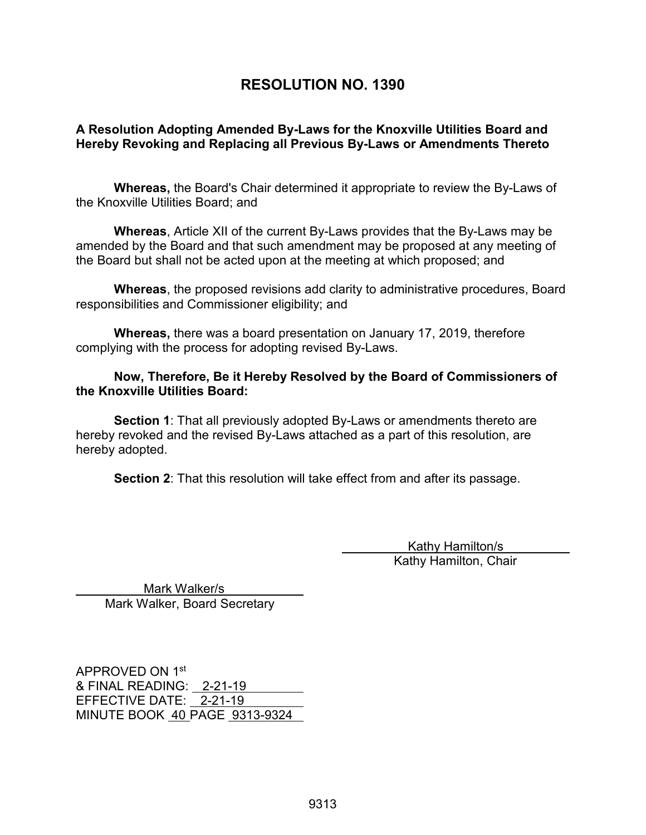## **RESOLUTION NO. 1390**

## **A Resolution Adopting Amended By-Laws for the Knoxville Utilities Board and Hereby Revoking and Replacing all Previous By-Laws or Amendments Thereto**

**Whereas,** the Board's Chair determined it appropriate to review the By-Laws of the Knoxville Utilities Board; and

**Whereas**, Article XII of the current By-Laws provides that the By-Laws may be amended by the Board and that such amendment may be proposed at any meeting of the Board but shall not be acted upon at the meeting at which proposed; and

**Whereas**, the proposed revisions add clarity to administrative procedures, Board responsibilities and Commissioner eligibility; and

**Whereas,** there was a board presentation on January 17, 2019, therefore complying with the process for adopting revised By-Laws.

### **Now, Therefore, Be it Hereby Resolved by the Board of Commissioners of the Knoxville Utilities Board:**

**Section 1**: That all previously adopted By-Laws or amendments thereto are hereby revoked and the revised By-Laws attached as a part of this resolution, are hereby adopted.

**Section 2**: That this resolution will take effect from and after its passage.

 Kathy Hamilton/s Kathy Hamilton, Chair

 Mark Walker/s Mark Walker, Board Secretary

APPROVED ON 1st & FINAL READING: 2-21-19 EFFECTIVE DATE: 2-21-19 MINUTE BOOK 40 PAGE 9313-9324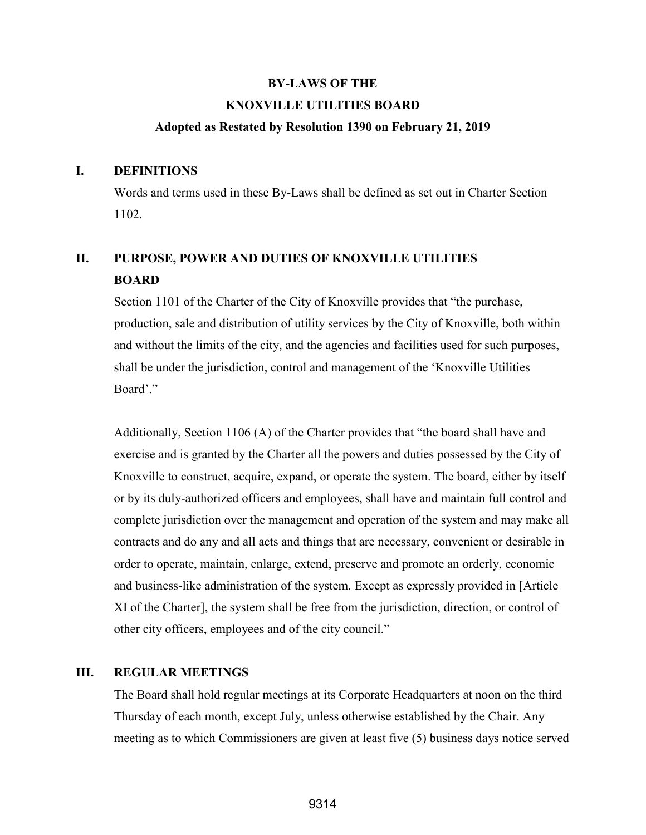# **BY-LAWS OF THE KNOXVILLE UTILITIES BOARD**

### **Adopted as Restated by Resolution 1390 on February 21, 2019**

#### **I. DEFINITIONS**

Words and terms used in these By-Laws shall be defined as set out in Charter Section 1102.

# **II. PURPOSE, POWER AND DUTIES OF KNOXVILLE UTILITIES BOARD**

Section 1101 of the Charter of the City of Knoxville provides that "the purchase, production, sale and distribution of utility services by the City of Knoxville, both within and without the limits of the city, and the agencies and facilities used for such purposes, shall be under the jurisdiction, control and management of the 'Knoxville Utilities Board'."

Additionally, Section 1106 (A) of the Charter provides that "the board shall have and exercise and is granted by the Charter all the powers and duties possessed by the City of Knoxville to construct, acquire, expand, or operate the system. The board, either by itself or by its duly-authorized officers and employees, shall have and maintain full control and complete jurisdiction over the management and operation of the system and may make all contracts and do any and all acts and things that are necessary, convenient or desirable in order to operate, maintain, enlarge, extend, preserve and promote an orderly, economic and business-like administration of the system. Except as expressly provided in [Article XI of the Charter], the system shall be free from the jurisdiction, direction, or control of other city officers, employees and of the city council."

## **III. REGULAR MEETINGS**

 The Board shall hold regular meetings at its Corporate Headquarters at noon on the third Thursday of each month, except July, unless otherwise established by the Chair. Any meeting as to which Commissioners are given at least five (5) business days notice served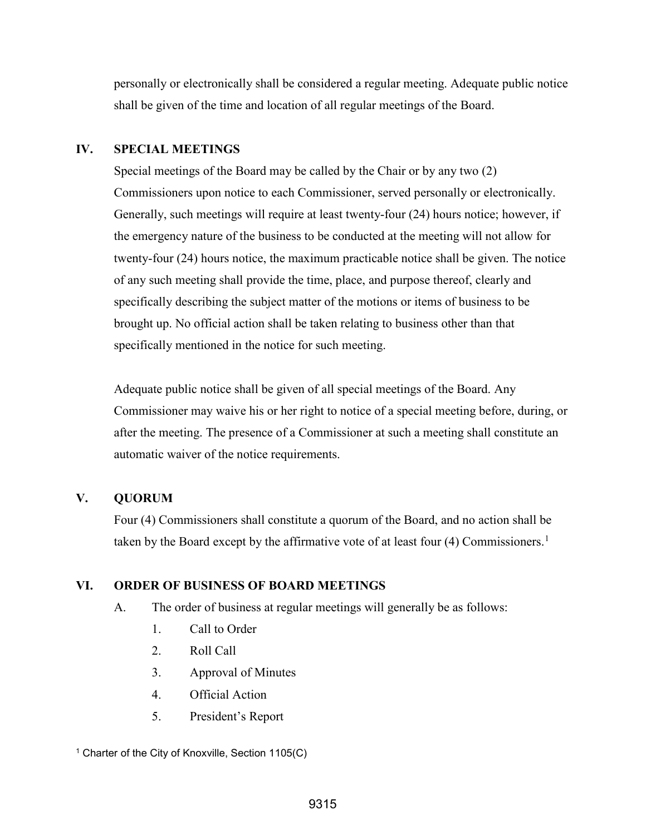personally or electronically shall be considered a regular meeting. Adequate public notice shall be given of the time and location of all regular meetings of the Board.

### **IV. SPECIAL MEETINGS**

Special meetings of the Board may be called by the Chair or by any two (2) Commissioners upon notice to each Commissioner, served personally or electronically. Generally, such meetings will require at least twenty-four (24) hours notice; however, if the emergency nature of the business to be conducted at the meeting will not allow for twenty-four (24) hours notice, the maximum practicable notice shall be given. The notice of any such meeting shall provide the time, place, and purpose thereof, clearly and specifically describing the subject matter of the motions or items of business to be brought up. No official action shall be taken relating to business other than that specifically mentioned in the notice for such meeting.

Adequate public notice shall be given of all special meetings of the Board. Any Commissioner may waive his or her right to notice of a special meeting before, during, or after the meeting. The presence of a Commissioner at such a meeting shall constitute an automatic waiver of the notice requirements.

## **V. QUORUM**

 Four (4) Commissioners shall constitute a quorum of the Board, and no action shall be taken by the Board except by the affirmative vote of at least four (4) Commissioners.<sup>[1](#page-11-0)</sup>

## **VI. ORDER OF BUSINESS OF BOARD MEETINGS**

- A. The order of business at regular meetings will generally be as follows:
	- 1. Call to Order
	- 2. Roll Call
	- 3. Approval of Minutes
	- 4. Official Action
	- 5. President's Report

<span id="page-11-0"></span><sup>1</sup> Charter of the City of Knoxville, Section 1105(C)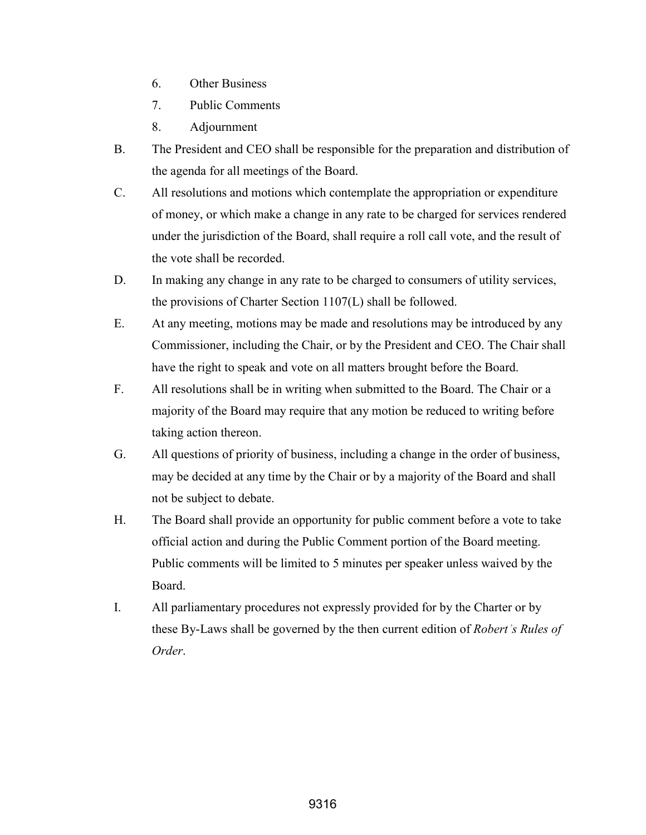- 6. Other Business
- 7. Public Comments
- 8. Adjournment
- B. The President and CEO shall be responsible for the preparation and distribution of the agenda for all meetings of the Board.
- C. All resolutions and motions which contemplate the appropriation or expenditure of money, or which make a change in any rate to be charged for services rendered under the jurisdiction of the Board, shall require a roll call vote, and the result of the vote shall be recorded.
- D. In making any change in any rate to be charged to consumers of utility services, the provisions of Charter Section 1107(L) shall be followed.
- E. At any meeting, motions may be made and resolutions may be introduced by any Commissioner, including the Chair, or by the President and CEO. The Chair shall have the right to speak and vote on all matters brought before the Board.
- F. All resolutions shall be in writing when submitted to the Board. The Chair or a majority of the Board may require that any motion be reduced to writing before taking action thereon.
- G. All questions of priority of business, including a change in the order of business, may be decided at any time by the Chair or by a majority of the Board and shall not be subject to debate.
- H. The Board shall provide an opportunity for public comment before a vote to take official action and during the Public Comment portion of the Board meeting. Public comments will be limited to 5 minutes per speaker unless waived by the Board.
- I. All parliamentary procedures not expressly provided for by the Charter or by these By-Laws shall be governed by the then current edition of *Robert's Rules of Order*.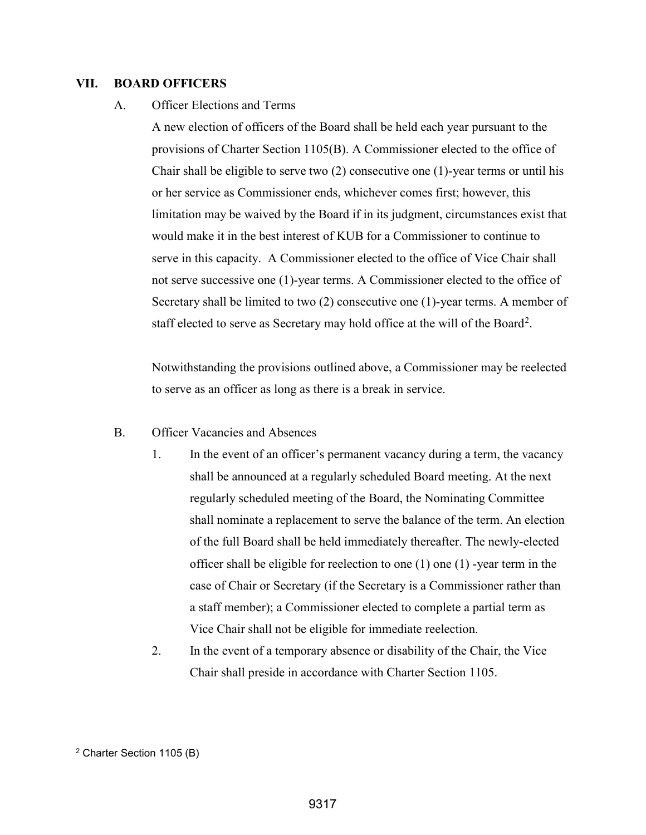#### **VII. BOARD OFFICERS**

### A. Officer Elections and Terms

A new election of officers of the Board shall be held each year pursuant to the provisions of Charter Section 1105(B). A Commissioner elected to the office of Chair shall be eligible to serve two  $(2)$  consecutive one  $(1)$ -year terms or until his or her service as Commissioner ends, whichever comes first; however, this limitation may be waived by the Board if in its judgment, circumstances exist that would make it in the best interest of KUB for a Commissioner to continue to serve in this capacity. A Commissioner elected to the office of Vice Chair shall not serve successive one (1)-year terms. A Commissioner elected to the office of Secretary shall be limited to two (2) consecutive one (1)-year terms. A member of staff elected to serve as Secretary may hold office at the will of the Board<sup>[2](#page-13-0)</sup>.

Notwithstanding the provisions outlined above, a Commissioner may be reelected to serve as an officer as long as there is a break in service.

- B. Officer Vacancies and Absences
	- 1. In the event of an officer's permanent vacancy during a term, the vacancy shall be announced at a regularly scheduled Board meeting. At the next regularly scheduled meeting of the Board, the Nominating Committee shall nominate a replacement to serve the balance of the term. An election of the full Board shall be held immediately thereafter. The newly-elected officer shall be eligible for reelection to one (1) one (1) -year term in the case of Chair or Secretary (if the Secretary is a Commissioner rather than a staff member); a Commissioner elected to complete a partial term as Vice Chair shall not be eligible for immediate reelection.
	- 2. In the event of a temporary absence or disability of the Chair, the Vice Chair shall preside in accordance with Charter Section 1105.

<span id="page-13-0"></span><sup>2</sup> Charter Section 1105 (B)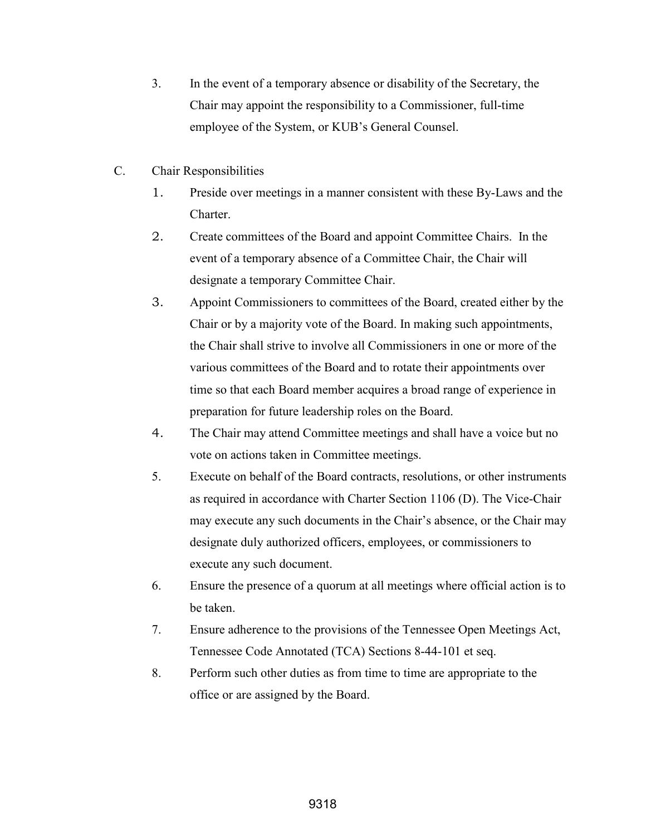- 3. In the event of a temporary absence or disability of the Secretary, the Chair may appoint the responsibility to a Commissioner, full-time employee of the System, or KUB's General Counsel.
- C. Chair Responsibilities
	- 1. Preside over meetings in a manner consistent with these By-Laws and the Charter.
	- 2. Create committees of the Board and appoint Committee Chairs. In the event of a temporary absence of a Committee Chair, the Chair will designate a temporary Committee Chair.
	- 3. Appoint Commissioners to committees of the Board, created either by the Chair or by a majority vote of the Board. In making such appointments, the Chair shall strive to involve all Commissioners in one or more of the various committees of the Board and to rotate their appointments over time so that each Board member acquires a broad range of experience in preparation for future leadership roles on the Board.
	- 4. The Chair may attend Committee meetings and shall have a voice but no vote on actions taken in Committee meetings.
	- 5. Execute on behalf of the Board contracts, resolutions, or other instruments as required in accordance with Charter Section 1106 (D). The Vice-Chair may execute any such documents in the Chair's absence, or the Chair may designate duly authorized officers, employees, or commissioners to execute any such document.
	- 6. Ensure the presence of a quorum at all meetings where official action is to be taken.
	- 7. Ensure adherence to the provisions of the Tennessee Open Meetings Act, Tennessee Code Annotated (TCA) Sections 8-44-101 et seq.
	- 8. Perform such other duties as from time to time are appropriate to the office or are assigned by the Board.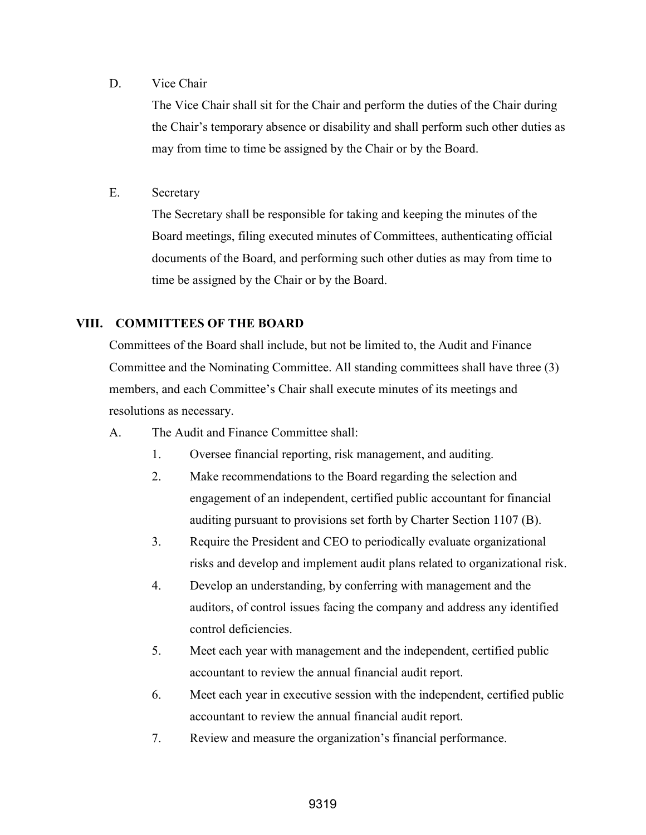### D. Vice Chair

The Vice Chair shall sit for the Chair and perform the duties of the Chair during the Chair's temporary absence or disability and shall perform such other duties as may from time to time be assigned by the Chair or by the Board.

E. Secretary

The Secretary shall be responsible for taking and keeping the minutes of the Board meetings, filing executed minutes of Committees, authenticating official documents of the Board, and performing such other duties as may from time to time be assigned by the Chair or by the Board.

## **VIII. COMMITTEES OF THE BOARD**

Committees of the Board shall include, but not be limited to, the Audit and Finance Committee and the Nominating Committee. All standing committees shall have three (3) members, and each Committee's Chair shall execute minutes of its meetings and resolutions as necessary.

- A. The Audit and Finance Committee shall:
	- 1. Oversee financial reporting, risk management, and auditing.
	- 2. Make recommendations to the Board regarding the selection and engagement of an independent, certified public accountant for financial auditing pursuant to provisions set forth by Charter Section 1107 (B).
	- 3. Require the President and CEO to periodically evaluate organizational risks and develop and implement audit plans related to organizational risk.
	- 4. Develop an understanding, by conferring with management and the auditors, of control issues facing the company and address any identified control deficiencies.
	- 5. Meet each year with management and the independent, certified public accountant to review the annual financial audit report.
	- 6. Meet each year in executive session with the independent, certified public accountant to review the annual financial audit report.
	- 7. Review and measure the organization's financial performance.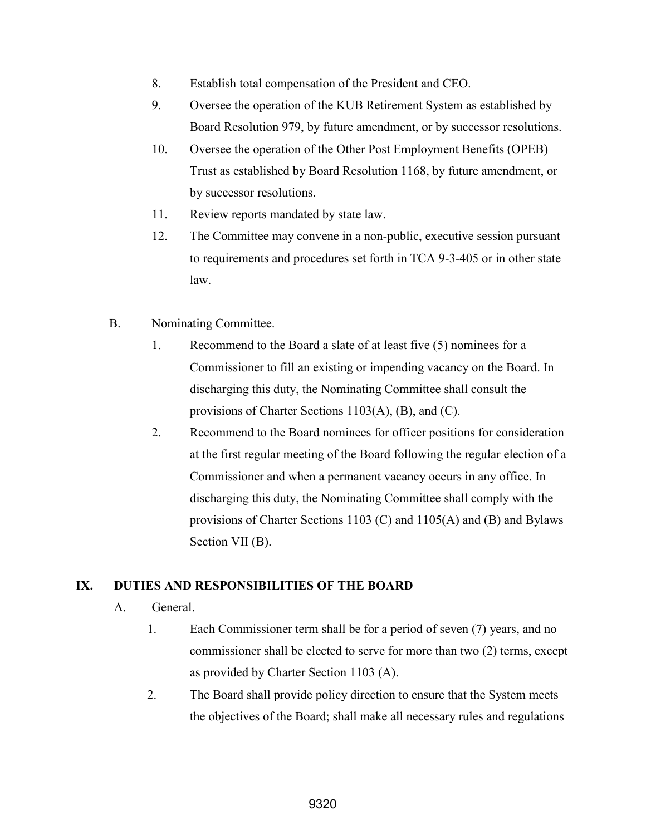- 8. Establish total compensation of the President and CEO.
- 9. Oversee the operation of the KUB Retirement System as established by Board Resolution 979, by future amendment, or by successor resolutions.
- 10. Oversee the operation of the Other Post Employment Benefits (OPEB) Trust as established by Board Resolution 1168, by future amendment, or by successor resolutions.
- 11. Review reports mandated by state law.
- 12. The Committee may convene in a non-public, executive session pursuant to requirements and procedures set forth in TCA 9-3-405 or in other state law.
- B. Nominating Committee.
	- 1. Recommend to the Board a slate of at least five (5) nominees for a Commissioner to fill an existing or impending vacancy on the Board. In discharging this duty, the Nominating Committee shall consult the provisions of Charter Sections 1103(A), (B), and (C).
	- 2. Recommend to the Board nominees for officer positions for consideration at the first regular meeting of the Board following the regular election of a Commissioner and when a permanent vacancy occurs in any office. In discharging this duty, the Nominating Committee shall comply with the provisions of Charter Sections 1103 (C) and 1105(A) and (B) and Bylaws Section VII (B).

## **IX. DUTIES AND RESPONSIBILITIES OF THE BOARD**

- A. General.
	- 1. Each Commissioner term shall be for a period of seven (7) years, and no commissioner shall be elected to serve for more than two (2) terms, except as provided by Charter Section 1103 (A).
	- 2. The Board shall provide policy direction to ensure that the System meets the objectives of the Board; shall make all necessary rules and regulations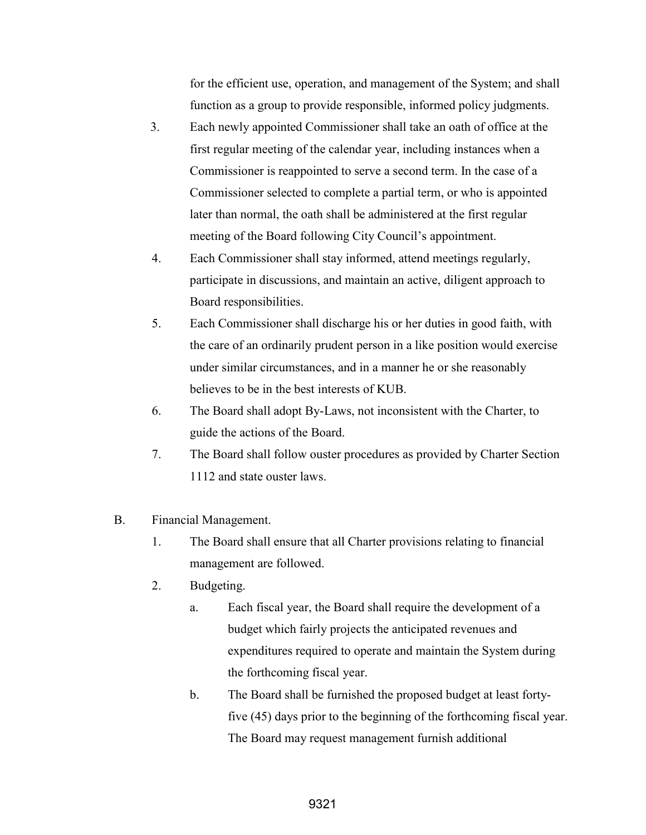for the efficient use, operation, and management of the System; and shall function as a group to provide responsible, informed policy judgments.

- 3. Each newly appointed Commissioner shall take an oath of office at the first regular meeting of the calendar year, including instances when a Commissioner is reappointed to serve a second term. In the case of a Commissioner selected to complete a partial term, or who is appointed later than normal, the oath shall be administered at the first regular meeting of the Board following City Council's appointment.
- 4. Each Commissioner shall stay informed, attend meetings regularly, participate in discussions, and maintain an active, diligent approach to Board responsibilities.
- 5. Each Commissioner shall discharge his or her duties in good faith, with the care of an ordinarily prudent person in a like position would exercise under similar circumstances, and in a manner he or she reasonably believes to be in the best interests of KUB.
- 6. The Board shall adopt By-Laws, not inconsistent with the Charter, to guide the actions of the Board.
- 7. The Board shall follow ouster procedures as provided by Charter Section 1112 and state ouster laws.

### B. Financial Management.

- 1. The Board shall ensure that all Charter provisions relating to financial management are followed.
- 2. Budgeting.
	- a. Each fiscal year, the Board shall require the development of a budget which fairly projects the anticipated revenues and expenditures required to operate and maintain the System during the forthcoming fiscal year.
	- b. The Board shall be furnished the proposed budget at least fortyfive (45) days prior to the beginning of the forthcoming fiscal year. The Board may request management furnish additional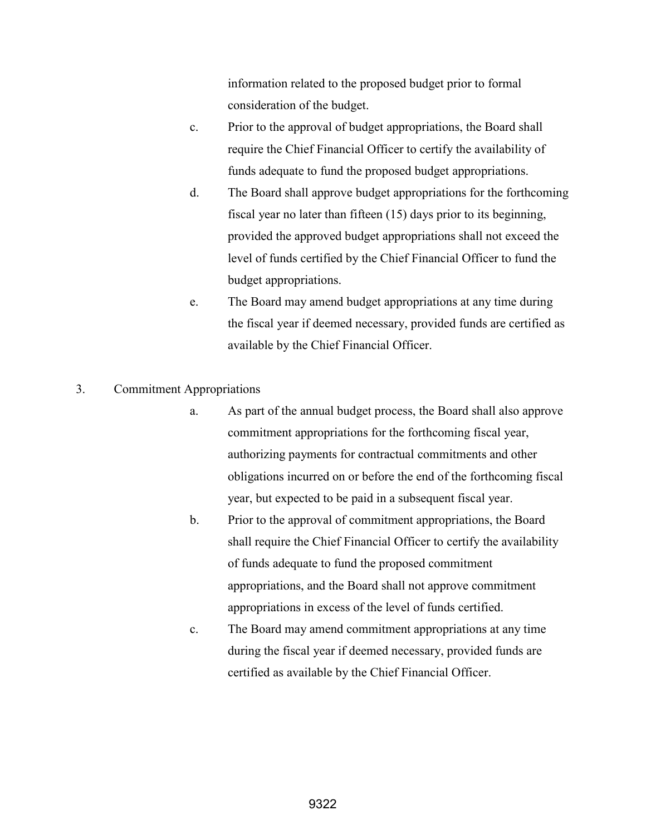information related to the proposed budget prior to formal consideration of the budget.

- c. Prior to the approval of budget appropriations, the Board shall require the Chief Financial Officer to certify the availability of funds adequate to fund the proposed budget appropriations.
- d. The Board shall approve budget appropriations for the forthcoming fiscal year no later than fifteen (15) days prior to its beginning, provided the approved budget appropriations shall not exceed the level of funds certified by the Chief Financial Officer to fund the budget appropriations.
- e. The Board may amend budget appropriations at any time during the fiscal year if deemed necessary, provided funds are certified as available by the Chief Financial Officer.

### 3. Commitment Appropriations

- a. As part of the annual budget process, the Board shall also approve commitment appropriations for the forthcoming fiscal year, authorizing payments for contractual commitments and other obligations incurred on or before the end of the forthcoming fiscal year, but expected to be paid in a subsequent fiscal year.
- b. Prior to the approval of commitment appropriations, the Board shall require the Chief Financial Officer to certify the availability of funds adequate to fund the proposed commitment appropriations, and the Board shall not approve commitment appropriations in excess of the level of funds certified.
- c. The Board may amend commitment appropriations at any time during the fiscal year if deemed necessary, provided funds are certified as available by the Chief Financial Officer.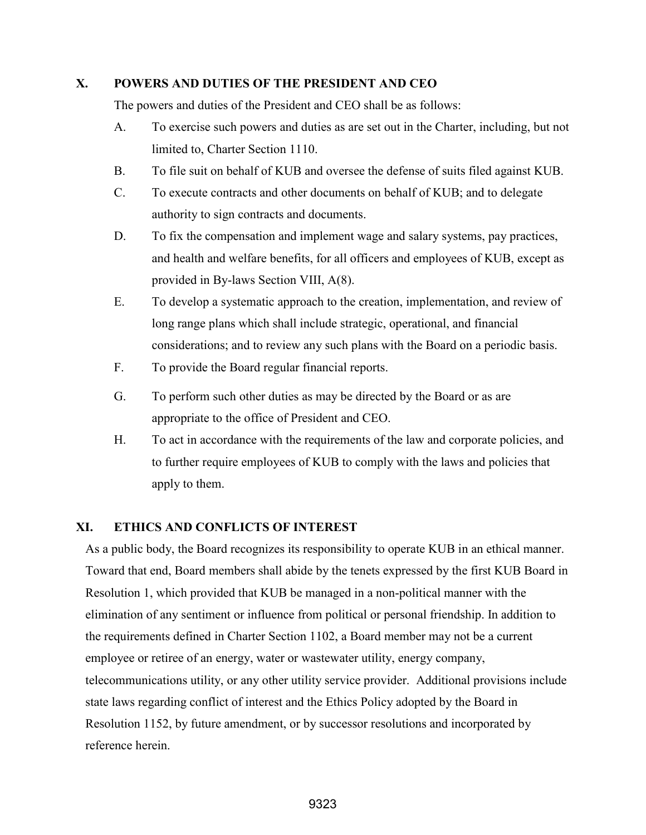### **X. POWERS AND DUTIES OF THE PRESIDENT AND CEO**

The powers and duties of the President and CEO shall be as follows:

- A. To exercise such powers and duties as are set out in the Charter, including, but not limited to, Charter Section 1110.
- B. To file suit on behalf of KUB and oversee the defense of suits filed against KUB.
- C. To execute contracts and other documents on behalf of KUB; and to delegate authority to sign contracts and documents.
- D. To fix the compensation and implement wage and salary systems, pay practices, and health and welfare benefits, for all officers and employees of KUB, except as provided in By-laws Section VIII, A(8).
- E. To develop a systematic approach to the creation, implementation, and review of long range plans which shall include strategic, operational, and financial considerations; and to review any such plans with the Board on a periodic basis.
- F. To provide the Board regular financial reports.
- G. To perform such other duties as may be directed by the Board or as are appropriate to the office of President and CEO.
- H. To act in accordance with the requirements of the law and corporate policies, and to further require employees of KUB to comply with the laws and policies that apply to them.

### **XI. ETHICS AND CONFLICTS OF INTEREST**

As a public body, the Board recognizes its responsibility to operate KUB in an ethical manner. Toward that end, Board members shall abide by the tenets expressed by the first KUB Board in Resolution 1, which provided that KUB be managed in a non-political manner with the elimination of any sentiment or influence from political or personal friendship. In addition to the requirements defined in Charter Section 1102, a Board member may not be a current employee or retiree of an energy, water or wastewater utility, energy company, telecommunications utility, or any other utility service provider. Additional provisions include state laws regarding conflict of interest and the Ethics Policy adopted by the Board in Resolution 1152, by future amendment, or by successor resolutions and incorporated by reference herein.